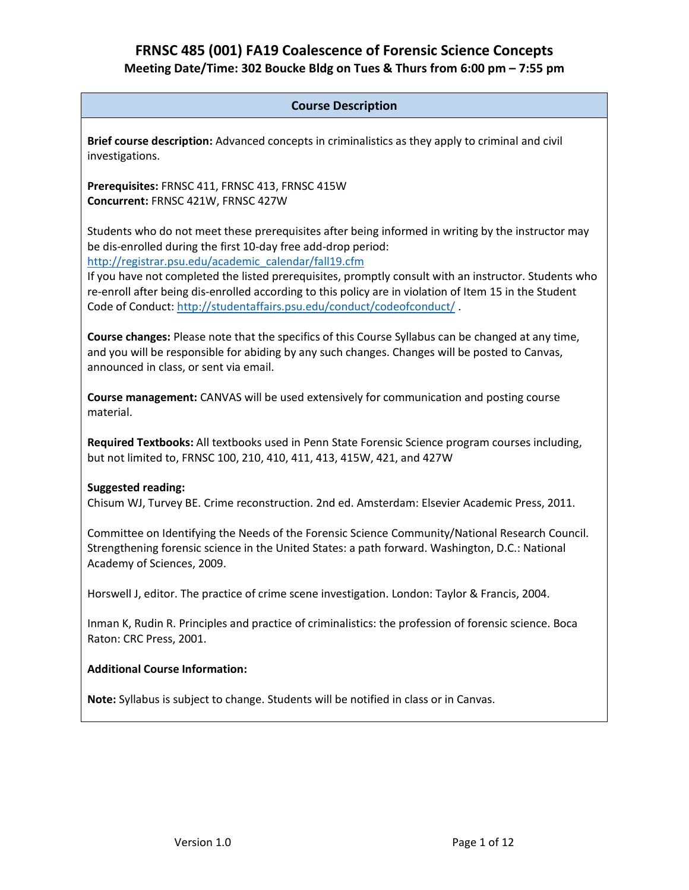## **Course Description**

**Brief course description:** Advanced concepts in criminalistics as they apply to criminal and civil investigations.

**Prerequisites:** FRNSC 411, FRNSC 413, FRNSC 415W **Concurrent:** FRNSC 421W, FRNSC 427W

Students who do not meet these prerequisites after being informed in writing by the instructor may be dis-enrolled during the first 10-day free add-drop period: [http://registrar.psu.edu/academic\\_calendar/fall19.cfm](http://registrar.psu.edu/academic_calendar/fall19.cfm)

If you have not completed the listed prerequisites, promptly consult with an instructor. Students who re-enroll after being dis-enrolled according to this policy are in violation of Item 15 in the Student Code of Conduct: <http://studentaffairs.psu.edu/conduct/codeofconduct/> .

**Course changes:** Please note that the specifics of this Course Syllabus can be changed at any time, and you will be responsible for abiding by any such changes. Changes will be posted to Canvas, announced in class, or sent via email.

**Course management:** CANVAS will be used extensively for communication and posting course material.

**Required Textbooks:** All textbooks used in Penn State Forensic Science program courses including, but not limited to, FRNSC 100, 210, 410, 411, 413, 415W, 421, and 427W

### **Suggested reading:**

Chisum WJ, Turvey BE. Crime reconstruction. 2nd ed. Amsterdam: Elsevier Academic Press, 2011.

Committee on Identifying the Needs of the Forensic Science Community/National Research Council. Strengthening forensic science in the United States: a path forward. Washington, D.C.: National Academy of Sciences, 2009.

Horswell J, editor. The practice of crime scene investigation. London: Taylor & Francis, 2004.

Inman K, Rudin R. Principles and practice of criminalistics: the profession of forensic science. Boca Raton: CRC Press, 2001.

### **Additional Course Information:**

**Note:** Syllabus is subject to change. Students will be notified in class or in Canvas.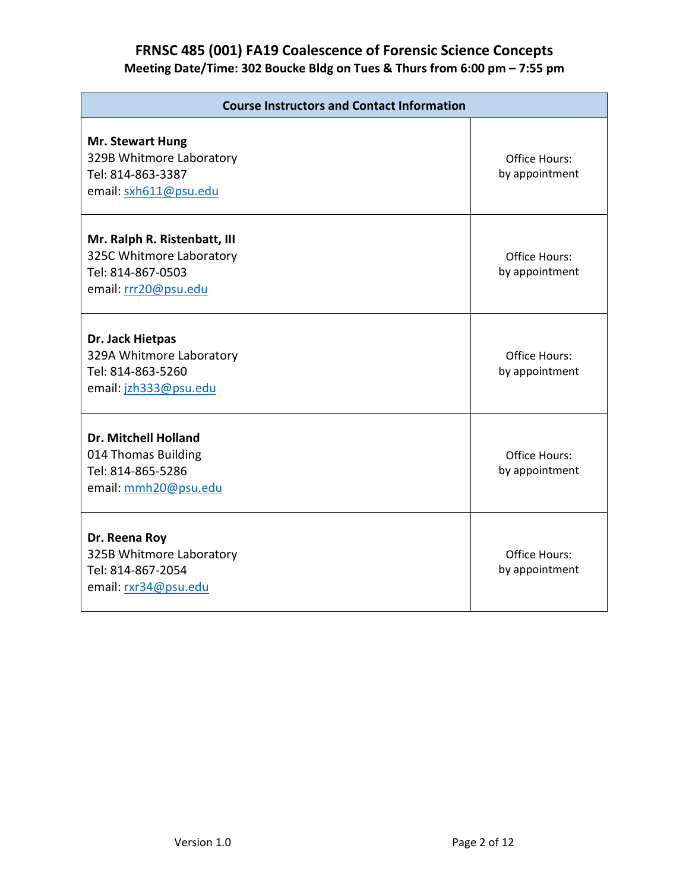| <b>Course Instructors and Contact Information</b>                                                     |                                        |  |
|-------------------------------------------------------------------------------------------------------|----------------------------------------|--|
| <b>Mr. Stewart Hung</b><br>329B Whitmore Laboratory<br>Tel: 814-863-3387<br>email: sxh611@psu.edu     | <b>Office Hours:</b><br>by appointment |  |
| Mr. Ralph R. Ristenbatt, III<br>325C Whitmore Laboratory<br>Tel: 814-867-0503<br>email: rrr20@psu.edu | <b>Office Hours:</b><br>by appointment |  |
| Dr. Jack Hietpas<br>329A Whitmore Laboratory<br>Tel: 814-863-5260<br>email: jzh333@psu.edu            | <b>Office Hours:</b><br>by appointment |  |
| <b>Dr. Mitchell Holland</b><br>014 Thomas Building<br>Tel: 814-865-5286<br>email: mmh20@psu.edu       | <b>Office Hours:</b><br>by appointment |  |
| Dr. Reena Roy<br>325B Whitmore Laboratory<br>Tel: 814-867-2054<br>email: rxr34@psu.edu                | Office Hours:<br>by appointment        |  |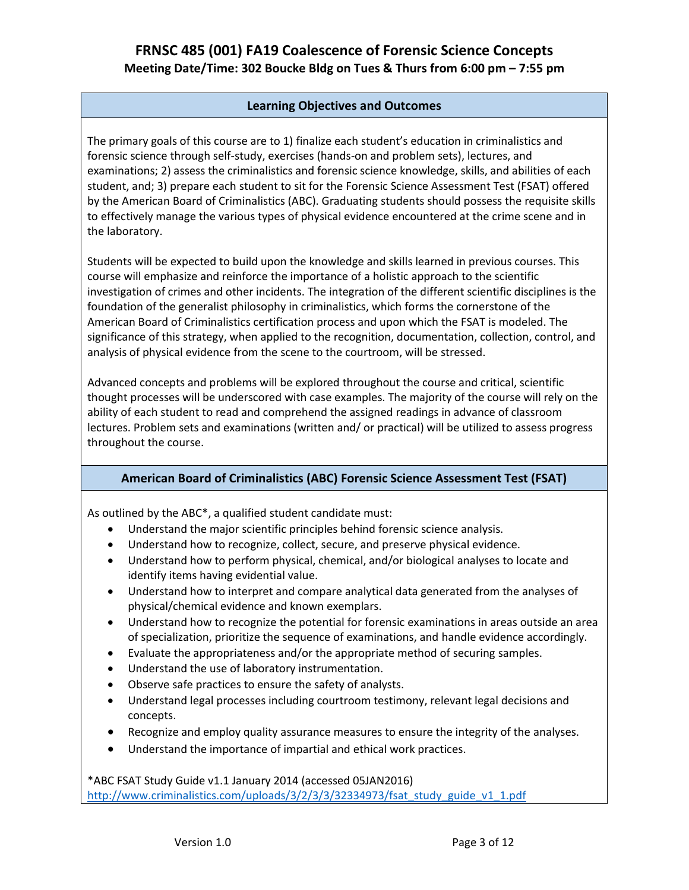## **Learning Objectives and Outcomes**

The primary goals of this course are to 1) finalize each student's education in criminalistics and forensic science through self-study, exercises (hands-on and problem sets), lectures, and examinations; 2) assess the criminalistics and forensic science knowledge, skills, and abilities of each student, and; 3) prepare each student to sit for the Forensic Science Assessment Test (FSAT) offered by the American Board of Criminalistics (ABC). Graduating students should possess the requisite skills to effectively manage the various types of physical evidence encountered at the crime scene and in the laboratory.

Students will be expected to build upon the knowledge and skills learned in previous courses. This course will emphasize and reinforce the importance of a holistic approach to the scientific investigation of crimes and other incidents. The integration of the different scientific disciplines is the foundation of the generalist philosophy in criminalistics, which forms the cornerstone of the American Board of Criminalistics certification process and upon which the FSAT is modeled. The significance of this strategy, when applied to the recognition, documentation, collection, control, and analysis of physical evidence from the scene to the courtroom, will be stressed.

Advanced concepts and problems will be explored throughout the course and critical, scientific thought processes will be underscored with case examples. The majority of the course will rely on the ability of each student to read and comprehend the assigned readings in advance of classroom lectures. Problem sets and examinations (written and/ or practical) will be utilized to assess progress throughout the course.

## **American Board of Criminalistics (ABC) Forensic Science Assessment Test (FSAT)**

As outlined by the ABC\*, a qualified student candidate must:

- Understand the major scientific principles behind forensic science analysis.
- Understand how to recognize, collect, secure, and preserve physical evidence.
- Understand how to perform physical, chemical, and/or biological analyses to locate and identify items having evidential value.
- Understand how to interpret and compare analytical data generated from the analyses of physical/chemical evidence and known exemplars.
- Understand how to recognize the potential for forensic examinations in areas outside an area of specialization, prioritize the sequence of examinations, and handle evidence accordingly.
- Evaluate the appropriateness and/or the appropriate method of securing samples.
- Understand the use of laboratory instrumentation.
- Observe safe practices to ensure the safety of analysts.
- Understand legal processes including courtroom testimony, relevant legal decisions and concepts.
- Recognize and employ quality assurance measures to ensure the integrity of the analyses.
- Understand the importance of impartial and ethical work practices.

\*ABC FSAT Study Guide v1.1 January 2014 (accessed 05JAN2016) [http://www.criminalistics.com/uploads/3/2/3/3/32334973/fsat\\_study\\_guide\\_v1\\_1.pdf](http://www.criminalistics.com/uploads/3/2/3/3/32334973/fsat_study_guide_v1_1.pdf)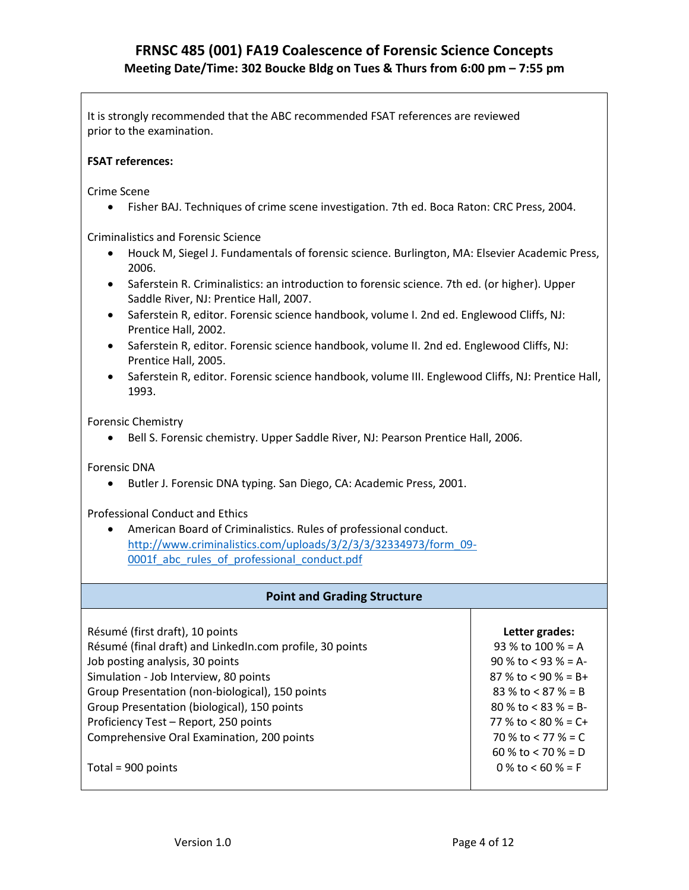It is strongly recommended that the ABC recommended FSAT references are reviewed prior to the examination.

### **FSAT references:**

Crime Scene

• Fisher BAJ. Techniques of crime scene investigation. 7th ed. Boca Raton: CRC Press, 2004.

Criminalistics and Forensic Science

- Houck M, Siegel J. Fundamentals of forensic science. Burlington, MA: Elsevier Academic Press, 2006.
- Saferstein R. Criminalistics: an introduction to forensic science. 7th ed. (or higher). Upper Saddle River, NJ: Prentice Hall, 2007.
- Saferstein R, editor. Forensic science handbook, volume I. 2nd ed. Englewood Cliffs, NJ: Prentice Hall, 2002.
- Saferstein R, editor. Forensic science handbook, volume II. 2nd ed. Englewood Cliffs, NJ: Prentice Hall, 2005.
- Saferstein R, editor. Forensic science handbook, volume III. Englewood Cliffs, NJ: Prentice Hall, 1993.

Forensic Chemistry

• Bell S. Forensic chemistry. Upper Saddle River, NJ: Pearson Prentice Hall, 2006.

Forensic DNA

• Butler J. Forensic DNA typing. San Diego, CA: Academic Press, 2001.

Professional Conduct and Ethics

• American Board of Criminalistics. Rules of professional conduct. [http://www.criminalistics.com/uploads/3/2/3/3/32334973/form\\_09-](http://www.criminalistics.com/uploads/3/2/3/3/32334973/form_09-0001f_abc_rules_of_professional_conduct.pdf) 0001f abc rules of professional conduct.pdf

|  | <b>Point and Grading Structure</b> |
|--|------------------------------------|
|--|------------------------------------|

Résumé (first draft), 10 points Résumé (final draft) and LinkedIn.com profile, 30 points Job posting analysis, 30 points Simulation - Job Interview, 80 points Group Presentation (non-biological), 150 points Group Presentation (biological), 150 points Proficiency Test – Report, 250 points Comprehensive Oral Examination, 200 points

Total = 900 points

| Letter grades:         |
|------------------------|
| 93 % to 100 % = A      |
| $90\%$ to < 93 % = A-  |
| 87 % to < 90 % = B+    |
| 83 % to $< 87$ % = B   |
| $80 \%$ to < 83 % = B- |
| 77 % to < 80 % = C+    |
| 70 % to < 77 % = $C$   |
| 60 % to < 70 % = D     |
| 0 % to < 60 % = F      |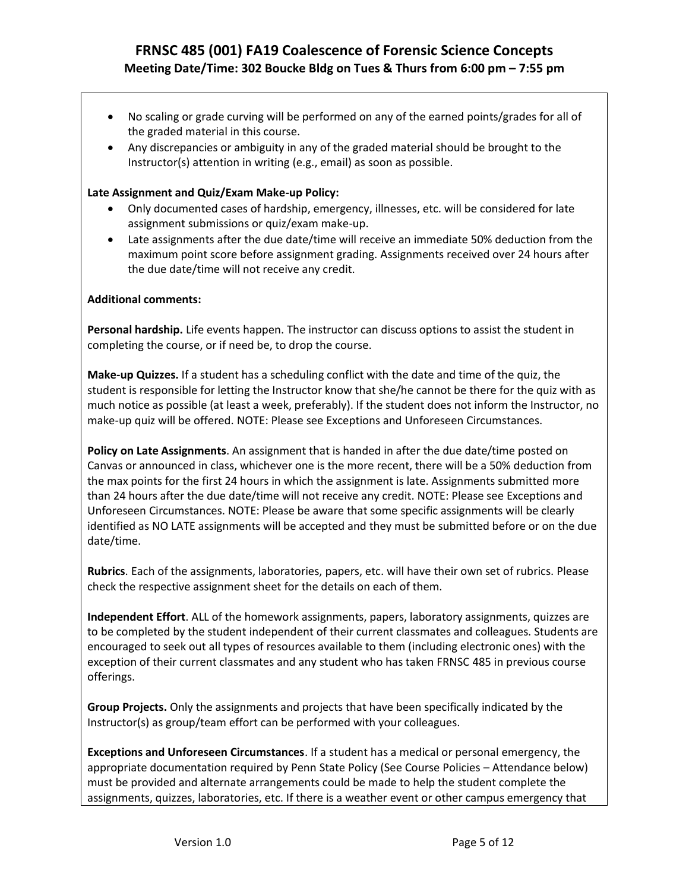- No scaling or grade curving will be performed on any of the earned points/grades for all of the graded material in this course.
- Any discrepancies or ambiguity in any of the graded material should be brought to the Instructor(s) attention in writing (e.g., email) as soon as possible.

### **Late Assignment and Quiz/Exam Make-up Policy:**

- Only documented cases of hardship, emergency, illnesses, etc. will be considered for late assignment submissions or quiz/exam make-up.
- Late assignments after the due date/time will receive an immediate 50% deduction from the maximum point score before assignment grading. Assignments received over 24 hours after the due date/time will not receive any credit.

### **Additional comments:**

**Personal hardship.** Life events happen. The instructor can discuss options to assist the student in completing the course, or if need be, to drop the course.

**Make-up Quizzes.** If a student has a scheduling conflict with the date and time of the quiz, the student is responsible for letting the Instructor know that she/he cannot be there for the quiz with as much notice as possible (at least a week, preferably). If the student does not inform the Instructor, no make-up quiz will be offered. NOTE: Please see Exceptions and Unforeseen Circumstances.

**Policy on Late Assignments**. An assignment that is handed in after the due date/time posted on Canvas or announced in class, whichever one is the more recent, there will be a 50% deduction from the max points for the first 24 hours in which the assignment is late. Assignments submitted more than 24 hours after the due date/time will not receive any credit. NOTE: Please see Exceptions and Unforeseen Circumstances. NOTE: Please be aware that some specific assignments will be clearly identified as NO LATE assignments will be accepted and they must be submitted before or on the due date/time.

**Rubrics**. Each of the assignments, laboratories, papers, etc. will have their own set of rubrics. Please check the respective assignment sheet for the details on each of them.

**Independent Effort**. ALL of the homework assignments, papers, laboratory assignments, quizzes are to be completed by the student independent of their current classmates and colleagues. Students are encouraged to seek out all types of resources available to them (including electronic ones) with the exception of their current classmates and any student who has taken FRNSC 485 in previous course offerings.

**Group Projects.** Only the assignments and projects that have been specifically indicated by the Instructor(s) as group/team effort can be performed with your colleagues.

**Exceptions and Unforeseen Circumstances**. If a student has a medical or personal emergency, the appropriate documentation required by Penn State Policy (See Course Policies – Attendance below) must be provided and alternate arrangements could be made to help the student complete the assignments, quizzes, laboratories, etc. If there is a weather event or other campus emergency that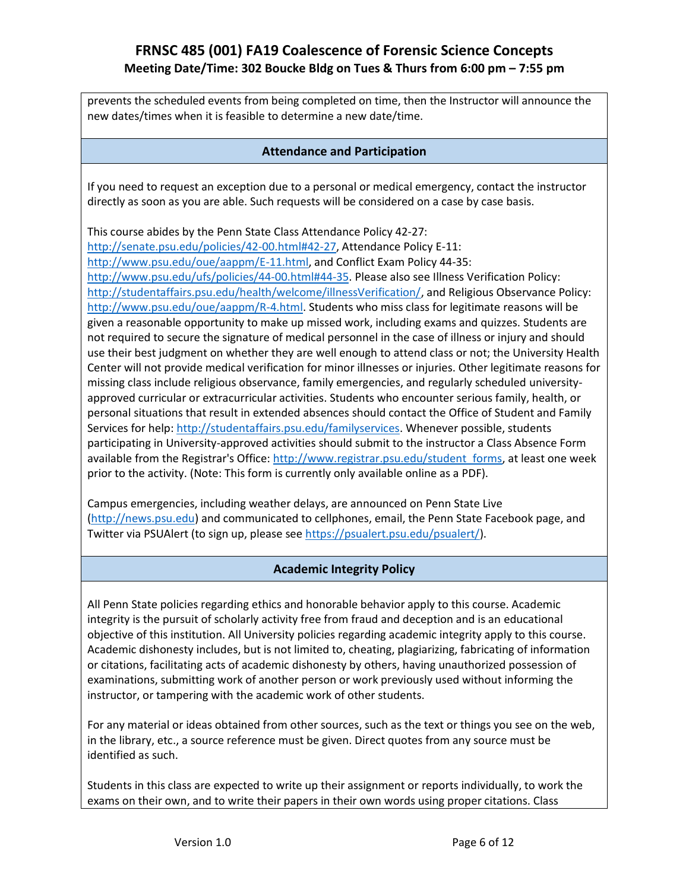prevents the scheduled events from being completed on time, then the Instructor will announce the new dates/times when it is feasible to determine a new date/time.

### **Attendance and Participation**

If you need to request an exception due to a personal or medical emergency, contact the instructor directly as soon as you are able. Such requests will be considered on a case by case basis.

This course abides by the Penn State Class Attendance Policy 42-27:

[http://senate.psu.edu/policies/42-00.html#42-27,](http://senate.psu.edu/policies/42-00.html#42-27) Attendance Policy E-11: [http://www.psu.edu/oue/aappm/E-11.html,](http://www.psu.edu/oue/aappm/E-11.html) and Conflict Exam Policy 44-35: [http://www.psu.edu/ufs/policies/44-00.html#44-35.](http://www.psu.edu/ufs/policies/44-00.html#44-35) Please also see Illness Verification Policy: [http://studentaffairs.psu.edu/health/welcome/illnessVerification/,](http://studentaffairs.psu.edu/health/welcome/illnessVerification/) and Religious Observance Policy: [http://www.psu.edu/oue/aappm/R-4.html.](http://www.psu.edu/oue/aappm/R-4.html) Students who miss class for legitimate reasons will be given a reasonable opportunity to make up missed work, including exams and quizzes. Students are not required to secure the signature of medical personnel in the case of illness or injury and should use their best judgment on whether they are well enough to attend class or not; the University Health Center will not provide medical verification for minor illnesses or injuries. Other legitimate reasons for missing class include religious observance, family emergencies, and regularly scheduled universityapproved curricular or extracurricular activities. Students who encounter serious family, health, or personal situations that result in extended absences should contact the Office of Student and Family Services for help: [http://studentaffairs.psu.edu/familyservices.](http://studentaffairs.psu.edu/familyservices) Whenever possible, students participating in University-approved activities should submit to the instructor a Class Absence Form available from the Registrar's Office: http://www.registrar.psu.edu/student forms, at least one week prior to the activity. (Note: This form is currently only available online as a PDF).

Campus emergencies, including weather delays, are announced on Penn State Live [\(http://news.psu.edu\)](http://news.psu.edu/) and communicated to cellphones, email, the Penn State Facebook page, and Twitter via PSUAlert (to sign up, please see [https://psualert.psu.edu/psualert/\)](https://psualert.psu.edu/psualert/).

## **Academic Integrity Policy**

All Penn State policies regarding ethics and honorable behavior apply to this course. Academic integrity is the pursuit of scholarly activity free from fraud and deception and is an educational objective of this institution. All University policies regarding academic integrity apply to this course. Academic dishonesty includes, but is not limited to, cheating, plagiarizing, fabricating of information or citations, facilitating acts of academic dishonesty by others, having unauthorized possession of examinations, submitting work of another person or work previously used without informing the instructor, or tampering with the academic work of other students.

For any material or ideas obtained from other sources, such as the text or things you see on the web, in the library, etc., a source reference must be given. Direct quotes from any source must be identified as such.

Students in this class are expected to write up their assignment or reports individually, to work the exams on their own, and to write their papers in their own words using proper citations. Class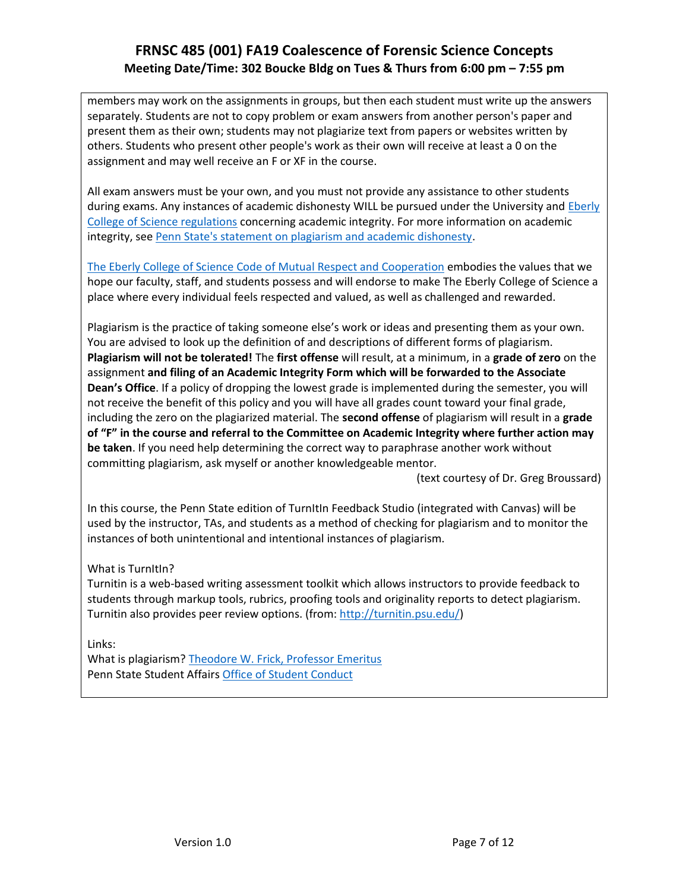members may work on the assignments in groups, but then each student must write up the answers separately. Students are not to copy problem or exam answers from another person's paper and present them as their own; students may not plagiarize text from papers or websites written by others. Students who present other people's work as their own will receive at least a 0 on the assignment and may well receive an F or XF in the course.

All exam answers must be your own, and you must not provide any assistance to other students during exams. Any instances of academic dishonesty WILL be pursued under the University and [Eberly](http://www.science.psu.edu/academic/Integrity/index.html)  [College of Science regulations](http://www.science.psu.edu/academic/Integrity/index.html) concerning academic integrity. For more information on academic integrity, see [Penn State's statement on plagiarism and academic dishonesty.](http://tlt.its.psu.edu/suggestions/cyberplag/cyberplagstudent.html)

[The Eberly College of Science Code of Mutual Respect and Cooperation](http://science.psu.edu/climate/code-of-mutual-respect-and-cooperation/Code-of-Mutual-Respect%20final.pdf/view) embodies the values that we hope our faculty, staff, and students possess and will endorse to make The Eberly College of Science a place where every individual feels respected and valued, as well as challenged and rewarded.

Plagiarism is the practice of taking someone else's work or ideas and presenting them as your own. You are advised to look up the definition of and descriptions of different forms of plagiarism. **Plagiarism will not be tolerated!** The **first offense** will result, at a minimum, in a **grade of zero** on the assignment **and filing of an Academic Integrity Form which will be forwarded to the Associate Dean's Office**. If a policy of dropping the lowest grade is implemented during the semester, you will not receive the benefit of this policy and you will have all grades count toward your final grade, including the zero on the plagiarized material. The **second offense** of plagiarism will result in a **grade of "F" in the course and referral to the Committee on Academic Integrity where further action may be taken**. If you need help determining the correct way to paraphrase another work without committing plagiarism, ask myself or another knowledgeable mentor.

(text courtesy of Dr. Greg Broussard)

In this course, the Penn State edition of TurnItIn Feedback Studio (integrated with Canvas) will be used by the instructor, TAs, and students as a method of checking for plagiarism and to monitor the instances of both unintentional and intentional instances of plagiarism.

### What is TurnItIn?

Turnitin is a web-based writing assessment toolkit which allows instructors to provide feedback to students through markup tools, rubrics, proofing tools and originality reports to detect plagiarism. Turnitin also provides peer review options. (from: [http://turnitin.psu.edu/\)](http://turnitin.psu.edu/)

Links:

What is plagiarism[? Theodore W. Frick, Professor Emeritus](https://www.indiana.edu/~tedfrick/plagiarism/) Penn State Student Affair[s Office of Student Conduct](https://studentaffairs.psu.edu/conduct/AcademicIntegrity.shtml)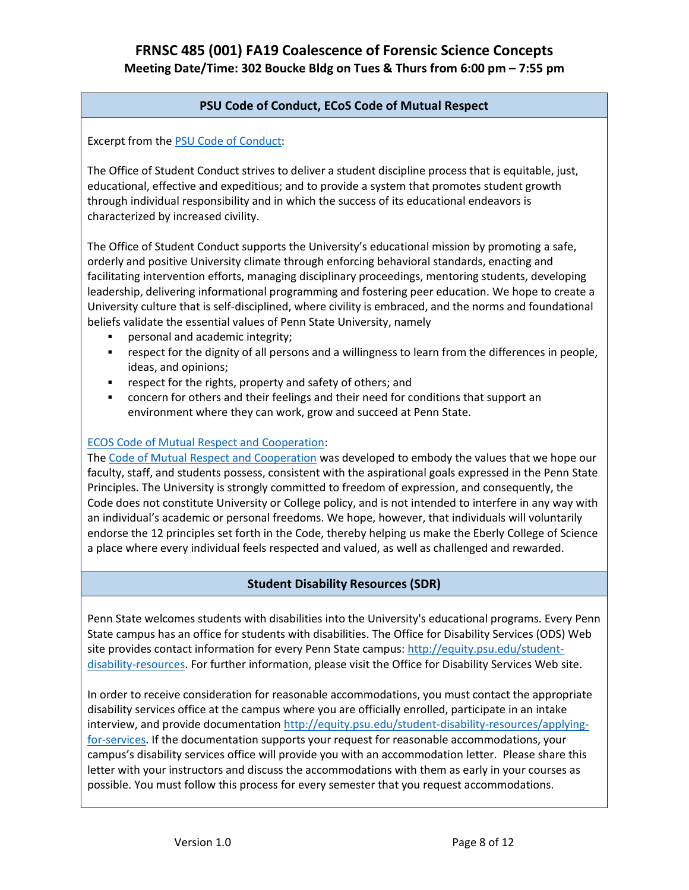## **PSU Code of Conduct, ECoS Code of Mutual Respect**

Excerpt from the [PSU Code of Conduct:](http://studentaffairs.psu.edu/conduct/Procedures.shtml#I)

The Office of Student Conduct strives to deliver a student discipline process that is equitable, just, educational, effective and expeditious; and to provide a system that promotes student growth through individual responsibility and in which the success of its educational endeavors is characterized by increased civility.

The Office of Student Conduct supports the University's educational mission by promoting a safe, orderly and positive University climate through enforcing behavioral standards, enacting and facilitating intervention efforts, managing disciplinary proceedings, mentoring students, developing leadership, delivering informational programming and fostering peer education. We hope to create a University culture that is self-disciplined, where civility is embraced, and the norms and foundational beliefs validate the essential values of Penn State University, namely

- personal and academic integrity;
- respect for the dignity of all persons and a willingness to learn from the differences in people, ideas, and opinions;
- respect for the rights, property and safety of others; and
- concern for others and their feelings and their need for conditions that support an environment where they can work, grow and succeed at Penn State.

## [ECOS Code of Mutual Respect and Cooperation:](http://science.psu.edu/climate/code-of-mutual-respect-and-cooperation)

The [Code of Mutual Respect and Cooperation](http://science.psu.edu/climate/Code-of-Mutual-Respect%20final.pdf) was developed to embody the values that we hope our faculty, staff, and students possess, consistent with the aspirational goals expressed in the Penn State Principles. The University is strongly committed to freedom of expression, and consequently, the Code does not constitute University or College policy, and is not intended to interfere in any way with an individual's academic or personal freedoms. We hope, however, that individuals will voluntarily endorse the 12 principles set forth in the Code, thereby helping us make the Eberly College of Science a place where every individual feels respected and valued, as well as challenged and rewarded.

## **Student Disability Resources (SDR)**

Penn State welcomes students with disabilities into the University's educational programs. Every Penn State campus has an office for students with disabilities. The Office for Disability Services (ODS) Web site provides contact information for every Penn State campus: [http://equity.psu.edu/student](http://equity.psu.edu/student-disability-resources)[disability-resources.](http://equity.psu.edu/student-disability-resources) For further information, please visit the Office for Disability Services Web site.

In order to receive consideration for reasonable accommodations, you must contact the appropriate disability services office at the campus where you are officially enrolled, participate in an intake interview, and provide documentation [http://equity.psu.edu/student-disability-resources/applying](http://equity.psu.edu/student-disability-resources/applying-for-services)[for-services.](http://equity.psu.edu/student-disability-resources/applying-for-services) If the documentation supports your request for reasonable accommodations, your campus's disability services office will provide you with an accommodation letter. Please share this letter with your instructors and discuss the accommodations with them as early in your courses as possible. You must follow this process for every semester that you request accommodations.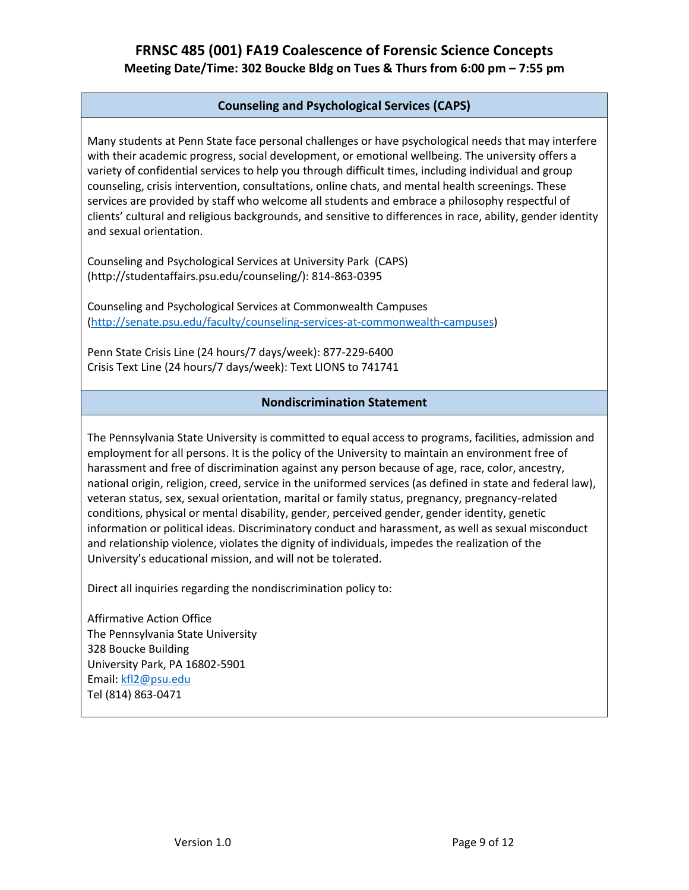## **Counseling and Psychological Services (CAPS)**

Many students at Penn State face personal challenges or have psychological needs that may interfere with their academic progress, social development, or emotional wellbeing. The university offers a variety of confidential services to help you through difficult times, including individual and group counseling, crisis intervention, consultations, online chats, and mental health screenings. These services are provided by staff who welcome all students and embrace a philosophy respectful of clients' cultural and religious backgrounds, and sensitive to differences in race, ability, gender identity and sexual orientation.

Counseling and Psychological Services at University Park (CAPS) (http://studentaffairs.psu.edu/counseling/): 814-863-0395

Counseling and Psychological Services at Commonwealth Campuses [\(http://senate.psu.edu/faculty/counseling-services-at-commonwealth-campuses\)](http://senate.psu.edu/faculty/counseling-services-at-commonwealth-campuses)

Penn State Crisis Line (24 hours/7 days/week): 877-229-6400 Crisis Text Line (24 hours/7 days/week): Text LIONS to 741741

### **Nondiscrimination Statement**

The Pennsylvania State University is committed to equal access to programs, facilities, admission and employment for all persons. It is the policy of the University to maintain an environment free of harassment and free of discrimination against any person because of age, race, color, ancestry, national origin, religion, creed, service in the uniformed services (as defined in state and federal law), veteran status, sex, sexual orientation, marital or family status, pregnancy, pregnancy-related conditions, physical or mental disability, gender, perceived gender, gender identity, genetic information or political ideas. Discriminatory conduct and harassment, as well as sexual misconduct and relationship violence, violates the dignity of individuals, impedes the realization of the University's educational mission, and will not be tolerated.

Direct all inquiries regarding the nondiscrimination policy to:

Affirmative Action Office The Pennsylvania State University 328 Boucke Building University Park, PA 16802-5901 Email[: kfl2@psu.edu](mailto:kfl2@psu.edu) Tel (814) 863-0471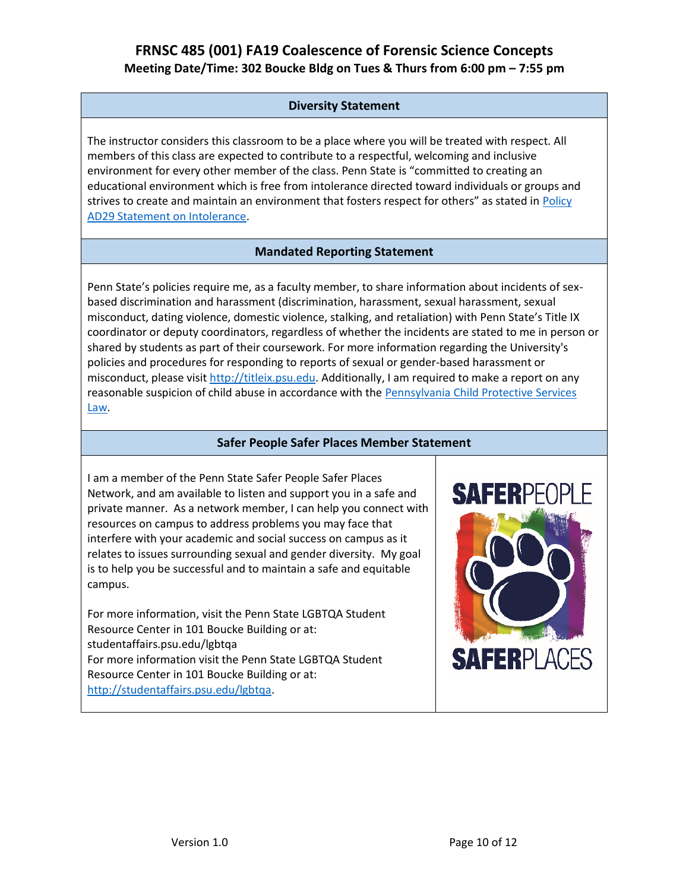## **Diversity Statement**

The instructor considers this classroom to be a place where you will be treated with respect. All members of this class are expected to contribute to a respectful, welcoming and inclusive environment for every other member of the class. Penn State is "committed to creating an educational environment which is free from intolerance directed toward individuals or groups and strives to create and maintain an environment that fosters respect for others" as stated in [Policy](http://guru.psu.edu/policies/AD29.html)  [AD29 Statement on Intolerance.](http://guru.psu.edu/policies/AD29.html)

## **Mandated Reporting Statement**

Penn State's policies require me, as a faculty member, to share information about incidents of sexbased discrimination and harassment (discrimination, harassment, sexual harassment, sexual misconduct, dating violence, domestic violence, stalking, and retaliation) with Penn State's Title IX coordinator or deputy coordinators, regardless of whether the incidents are stated to me in person or shared by students as part of their coursework. For more information regarding the University's policies and procedures for responding to reports of sexual or gender-based harassment or misconduct, please visi[t http://titleix.psu.edu.](http://titleix.psu.edu/) Additionally, I am required to make a report on any reasonable suspicion of child abuse in accordance with the [Pennsylvania Child Protective Services](http://www.legis.state.pa.us/WU01/LI/LI/CT/HTM/23/00.063..HTM)  [Law.](http://www.legis.state.pa.us/WU01/LI/LI/CT/HTM/23/00.063..HTM)

### **Safer People Safer Places Member Statement**

I am a member of the Penn State Safer People Safer Places Network, and am available to listen and support you in a safe and private manner. As a network member, I can help you connect with resources on campus to address problems you may face that interfere with your academic and social success on campus as it relates to issues surrounding sexual and gender diversity. My goal is to help you be successful and to maintain a safe and equitable campus.

For more information, visit the Penn State LGBTQA Student Resource Center in 101 Boucke Building or at: studentaffairs.psu.edu/lgbtqa For more information visit the Penn State LGBTQA Student Resource Center in 101 Boucke Building or at: [http://studentaffairs.psu.edu/lgbtqa.](http://studentaffairs.psu.edu/lgbtqa)

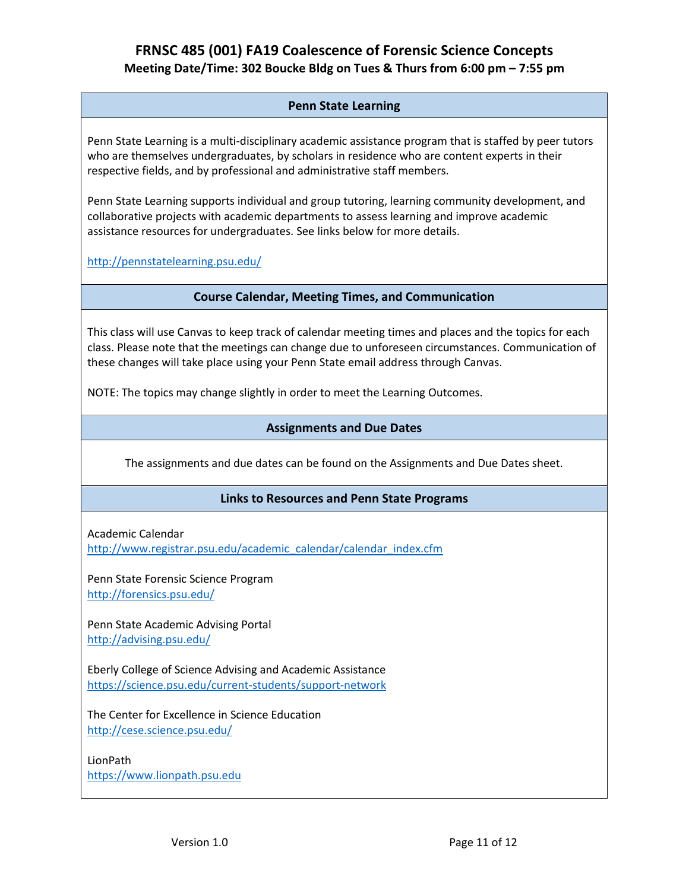## **Penn State Learning**

Penn State Learning is a multi-disciplinary academic assistance program that is staffed by peer tutors who are themselves undergraduates, by scholars in residence who are content experts in their respective fields, and by professional and administrative staff members.

Penn State Learning supports individual and group tutoring, learning community development, and collaborative projects with academic departments to assess learning and improve academic assistance resources for undergraduates. See links below for more details.

<http://pennstatelearning.psu.edu/>

### **Course Calendar, Meeting Times, and Communication**

This class will use Canvas to keep track of calendar meeting times and places and the topics for each class. Please note that the meetings can change due to unforeseen circumstances. Communication of these changes will take place using your Penn State email address through Canvas.

NOTE: The topics may change slightly in order to meet the Learning Outcomes.

### **Assignments and Due Dates**

The assignments and due dates can be found on the Assignments and Due Dates sheet.

### **Links to Resources and Penn State Programs**

Academic Calendar

[http://www.registrar.psu.edu/academic\\_calendar/calendar\\_index.cfm](http://www.registrar.psu.edu/academic_calendar/calendar_index.cfm)

Penn State Forensic Science Program <http://forensics.psu.edu/>

Penn State Academic Advising Portal <http://advising.psu.edu/>

Eberly College of Science Advising and Academic Assistance <https://science.psu.edu/current-students/support-network>

The Center for Excellence in Science Education <http://cese.science.psu.edu/>

LionPath [https://www.lionpath.psu.edu](https://www.lionpath.psu.edu/)